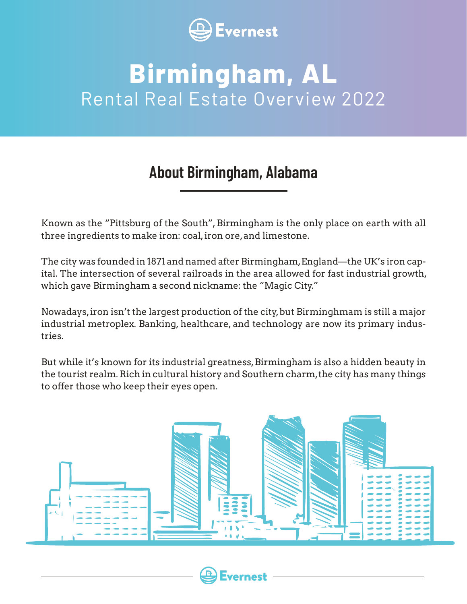

## **Birmingham, AL** Rental Real Estate Overview 2022

## **About Birmingham, Alabama**

Known as the "Pittsburg of the South", Birmingham is the only place on earth with all three ingredients to make iron: coal, iron ore, and limestone.

The city was founded in 1871 and named after Birmingham, England—the UK's iron capital. The intersection of several railroads in the area allowed for fast industrial growth, which gave Birmingham a second nickname: the "Magic City."

Nowadays, iron isn't the largest production of the city, but Birminghmam is still a major industrial metroplex. Banking, healthcare, and technology are now its primary industries.

But while it's known for its industrial greatness, Birmingham is also a hidden beauty in the tourist realm. Rich in cultural history and Southern charm, the city has many things to offer those who keep their eyes open.



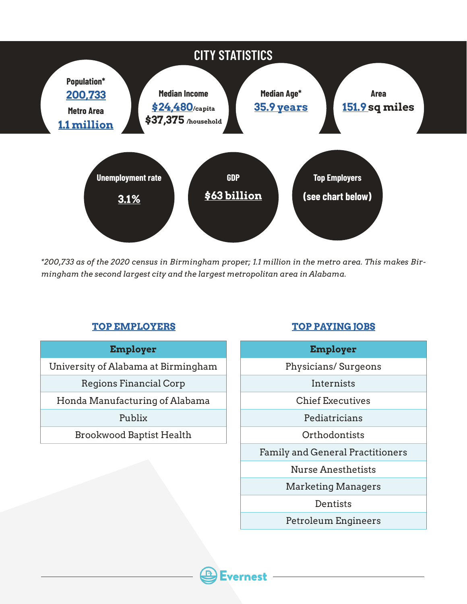

*\*200,733 as of the 2020 census in Birmingham proper; 1.1 million in the metro area. This makes Birmingham the second largest city and the largest metropolitan area in Alabama.*

#### **TOP [EMPLOYERS](https://www.bizjournals.com/birmingham/news/2021/07/28/list-birmingham-s-largest-employers.html) [TOP PAYING JOBS](https://www.zippia.com/advice/highest-paying-jobs-in-birmingham-al/)**

#### **Employer**

University of Alabama at Birmingham

Regions Financial Corp

Honda Manufacturing of Alabama

#### Publix

Brookwood Baptist Health

#### **Employer**

Physicians/ Surgeons

Internists

Chief Executives

Pediatricians

**Orthodontists** 

Family and General Practitioners

Nurse Anesthetists

Marketing Managers

Dentists

Petroleum Engineers

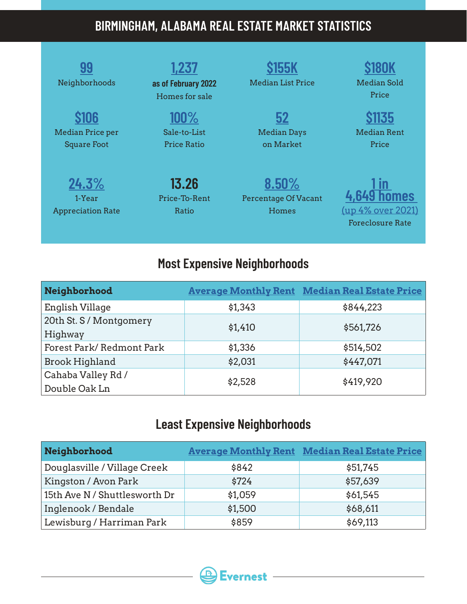## **BIRMINGHAM, ALABAMA REAL ESTATE MARKET STATISTICS**

| Neighborhoods                               | 1,237<br>as of February 2022<br>Homes for sale | <b>Median List Price</b>                      | Median Sold<br>Price                                        |
|---------------------------------------------|------------------------------------------------|-----------------------------------------------|-------------------------------------------------------------|
| Median Price per<br><b>Square Foot</b>      | 100%<br>Sale-to-List<br><b>Price Ratio</b>     | <b>Median Days</b><br>on Market               | \$1135<br><b>Median Rent</b><br>Price                       |
| 24.3%<br>1-Year<br><b>Appreciation Rate</b> | 13.26<br>Price-To-Rent<br>Ratio                | 8.50%<br><b>Percentage Of Vacant</b><br>Homes | <b>nmes</b><br>(up 4% over 2021)<br><b>Foreclosure Rate</b> |

## **Most Expensive Neighborhoods**

| Neighborhood                        |         | <b>Average Monthly Rent Median Real Estate Price</b> |
|-------------------------------------|---------|------------------------------------------------------|
| English Village                     | \$1,343 | \$844,223                                            |
| 20th St. S / Montgomery<br>Highway  | \$1,410 | \$561,726                                            |
| Forest Park/Redmont Park            | \$1,336 | \$514,502                                            |
| <b>Brook Highland</b>               | \$2,031 | \$447,071                                            |
| Cahaba Valley Rd /<br>Double Oak Ln | \$2,528 | \$419,920                                            |

## **Least Expensive Neighborhoods**

| Neighborhood                  |         | <b>Average Monthly Rent Median Real Estate Price</b> |
|-------------------------------|---------|------------------------------------------------------|
| Douglasville / Village Creek  | \$842   | \$51,745                                             |
| Kingston / Avon Park          | \$724   | \$57,639                                             |
| 15th Ave N / Shuttlesworth Dr | \$1,059 | \$61,545                                             |
| Inglenook / Bendale           | \$1,500 | \$68,611                                             |
| Lewisburg / Harriman Park     | \$859   | \$69,113                                             |

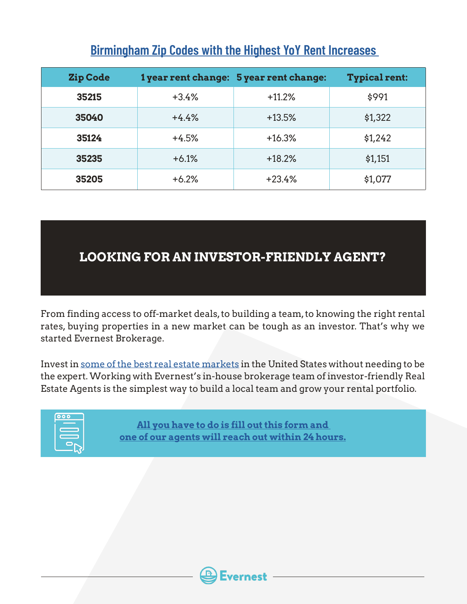| Zip Code |         | 1 year rent change: 5 year rent change: | <b>Typical rent:</b> |
|----------|---------|-----------------------------------------|----------------------|
| 35215    | $+3.4%$ | $+11.2%$                                | \$991                |
| 35040    | $+4.4%$ | $+13.5%$                                | \$1,322              |
| 35124    | $+4.5%$ | $+16.3%$                                | \$1,242              |
| 35235    | $+6.1%$ | $+18.2%$                                | \$1,151              |
| 35205    | $+6.2%$ | $+23.4%$                                | \$1,077              |

### **[Birmingham Zip Codes with the Highest YoY Rent Increases](https://stacker.com/alabama/birmingham/zip-codes-fastest-growing-rent-birmingham)**

### **LOOKING FOR AN INVESTOR-FRIENDLY AGENT?**

From finding access to off-market deals, to building a team, to knowing the right rental rates, buying properties in a new market can be tough as an investor. That's why we started Evernest Brokerage.

Invest in [some of the best real estate markets](https://www.evernest.co/locations/) in the United States without needing to be the expert. Working with Evernest's in-house brokerage team of investor-friendly Real Estate Agents is the simplest way to build a local team and grow your rental portfolio.



**All you have to do is fill out this [form](https://www.evernest.co/pocket-listings/) and one of our agents will reach out within 24 hours.**

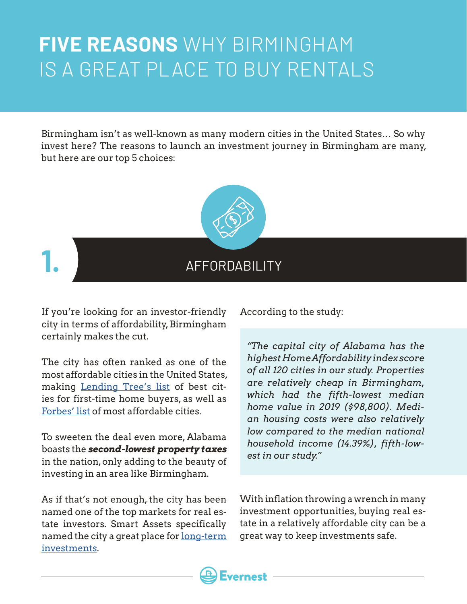## **FIVE REASONS** WHY BIRMINGHAM IS A GREAT PLACE TO BUY RENTALS

Birmingham isn't as well-known as many modern cities in the United States… So why invest here? The reasons to launch an investment journey in Birmingham are many, but here are our top 5 choices:



If you're looking for an investor-friendly city in terms of affordability, Birmingham certainly makes the cut.

The city has often ranked as one of the most affordable cities in the United States, making [Lending Tree's list](https://www.lendingtree.com/home/mortgage/best-cities-for-first-time-homebuyers/) of best cities for first-time home buyers, as well as [Forbes' list](https://www.forbes.com/sites/erincarlyle/2015/03/12/americas-most-affordable-cities-in-2015/?sh=79190c4115e6) of most affordable cities.

To sweeten the deal even more, Alabama boasts the *second-lowest property taxes* in the nation, only adding to the beauty of investing in an area like Birmingham.

As if that's not enough, the city has been named one of the top markets for real estate investors. Smart Assets specifically named the city a great place for [long-term](https://smartasset.com/data-studies/where-it-pays-off-to-buy-a-long-term-rental-property-2021) [investments](https://smartasset.com/data-studies/where-it-pays-off-to-buy-a-long-term-rental-property-2021).

According to the study:

*"The capital city of Alabama has the highest Home Affordability index score of all 120 cities in our study. Properties are relatively cheap in Birmingham, which had the fifth-lowest median home value in 2019 (\$98,800). Median housing costs were also relatively low compared to the median national household income (14.39%), fifth-lowest in our study.*"

With inflation throwing a wrench in many investment opportunities, buying real estate in a relatively affordable city can be a great way to keep investments safe.

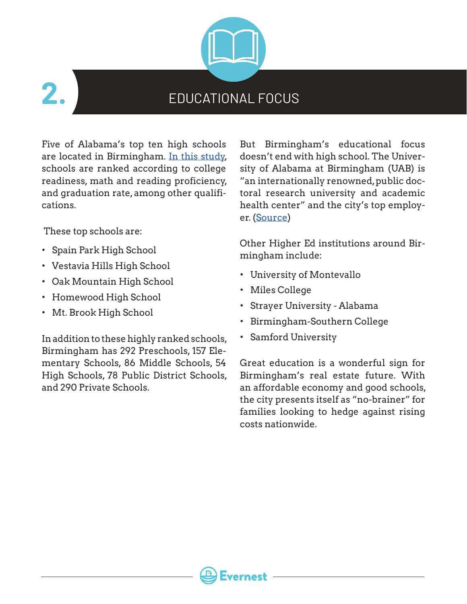

## EDUCATIONAL FOCUS

Five of Alabama's top ten high schools are located in Birmingham. [In this study,](https://bhamnow.com/2019/05/02/5-birmingham-schools-ranked-in-top-10-best-high-schools-in-alabama-by-u-s-news-world-report/) schools are ranked according to college readiness, math and reading proficiency, and graduation rate, among other qualifications.

These top schools are:

- Spain Park High School
- Vestavia Hills High School
- Oak Mountain High School
- Homewood High School
- Mt. Brook High School

In addition to these highly ranked schools, Birmingham has 292 Preschools, 157 Elementary Schools, 86 Middle Schools, 54 High Schools, 78 Public District Schools, and 290 Private Schools.

But Birmingham's educational focus doesn't end with high school. The University of Alabama at Birmingham (UAB) is "an internationally renowned, public doctoral research university and academic health center" and the city's top employer. ([Source](https://www.uab.edu/home/about/academic-accolades))

Other Higher Ed institutions around Birmingham include:

- University of Montevallo
- Miles College

rernest

- Strayer University Alabama
- Birmingham-Southern College
- Samford University

Great education is a wonderful sign for Birmingham's real estate future. With an affordable economy and good schools, the city presents itself as "no-brainer" for families looking to hedge against rising costs nationwide.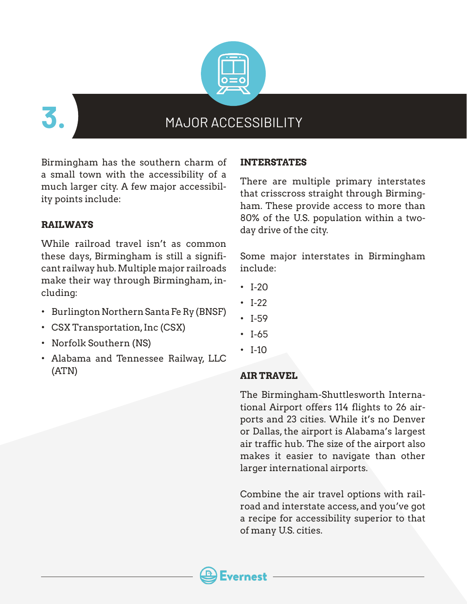

**3.**

### MAJOR ACCESSIBILITY

Birmingham has the southern charm of a small town with the accessibility of a much larger city. A few major accessibility points include:

#### **RAILWAYS**

While railroad travel isn't as common these days, Birmingham is still a significant railway hub. Multiple major railroads make their way through Birmingham, including:

- Burlington Northern Santa Fe Ry (BNSF)
- CSX Transportation, Inc (CSX)
- Norfolk Southern (NS)
- Alabama and Tennessee Railway, LLC (ATN)

#### **INTERSTATES**

There are multiple primary interstates that crisscross straight through Birmingham. These provide access to more than 80% of the U.S. population within a twoday drive of the city.

Some major interstates in Birmingham include:

- $\cdot$  I-20
- I-22
- I-59
- I-65
- $\cdot$  I-10

#### **AIR TRAVEL**

The Birmingham-Shuttlesworth International Airport offers 114 flights to 26 airports and 23 cities. While it's no Denver or Dallas, the airport is Alabama's largest air traffic hub. The size of the airport also makes it easier to navigate than other larger international airports.

Combine the air travel options with railroad and interstate access, and you've got a recipe for accessibility superior to that of many U.S. cities.

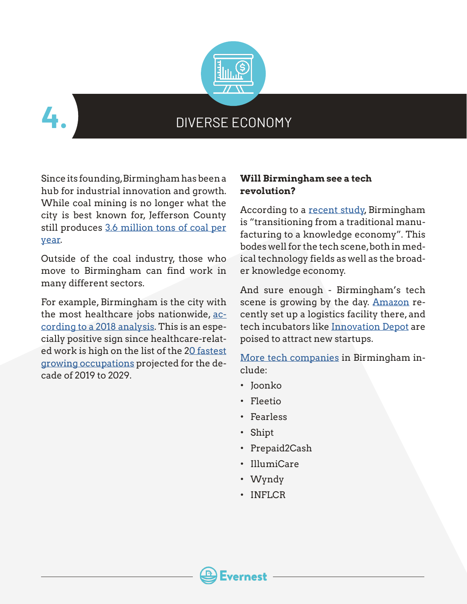



### DIVERSE ECONOMY

Since its founding, Birmingham has been a hub for industrial innovation and growth. While coal mining is no longer what the city is best known for, Jefferson County still produces [3.6 million tons of coal per](https://www.bizjournals.com/birmingham/morning_call/2015/05/coal-in-alabama-what-you-need-to-know.html#:~:text=Upon%20further%20examination%2C%20the%20Birmingham,operations%20concentrated%20in%20central%20Alabama.) [year](https://www.bizjournals.com/birmingham/morning_call/2015/05/coal-in-alabama-what-you-need-to-know.html#:~:text=Upon%20further%20examination%2C%20the%20Birmingham,operations%20concentrated%20in%20central%20Alabama.).

Outside of the coal industry, those who move to Birmingham can find work in many different sectors.

For example, Birmingham is the city with the most healthcare jobs nationwide, [ac](https://www.bizjournals.com/birmingham/news/2018/01/25/birmingham-named-no-1-metro-area-for-health-care.html)[cording to a 2018 analysis](https://www.bizjournals.com/birmingham/news/2018/01/25/birmingham-named-no-1-metro-area-for-health-care.html). This is an especially positive sign since healthcare-related work is high on the list of the [20 fastest](https://www.bls.gov/opub/ted/2020/5-out-of-20-fastest-growing-industries-from-2019-to-2029-are-in-healthcare-and-social-assistance.htm) [growing occupations](https://www.bls.gov/opub/ted/2020/5-out-of-20-fastest-growing-industries-from-2019-to-2029-are-in-healthcare-and-social-assistance.htm) projected for the decade of 2019 to 2029.

### **Will Birmingham see a tech revolution?**

According to a [recent study,](https://www.birminghamal.gov/wp-content/uploads/2017/08/CH9_EconomicBaseIndust.pdf) Birmingham is "transitioning from a traditional manufacturing to a knowledge economy". This bodes well for the tech scene, both in medical technology fields as well as the broader knowledge economy.

And sure enough - Birmingham's tech scene is growing by the day. [Amazon](https://www.al.com/business/2021/11/amazon-creating-900-alabama-jobs-with-major-birmingham-huntsville-montgomery-expansions.html) recently set up a logistics facility there, and tech incubators like [Innovation Depot](https://innovationdepot.org/) are poised to attract new startups.

[More tech companies](https://thetechtribune.com/9-best-tech-startups-in-birmingham/) in Birmingham include:

- Joonko
- Fleetio
- Fearless
- Shipt
- Prepaid2Cash
- IllumiCare
- Wyndy
- INFLCR

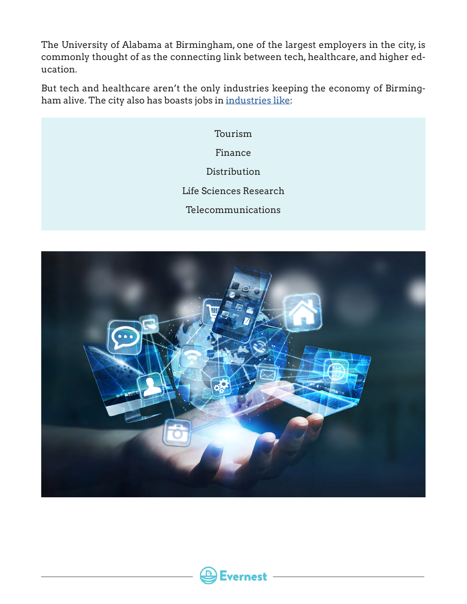The University of Alabama at Birmingham, one of the largest employers in the city, is commonly thought of as the connecting link between tech, healthcare, and higher education.

But tech and healthcare aren't the only industries keeping the economy of Birmingham alive. The city also has boasts jobs in [industries like:](https://www.city-data.com/us-cities/The-South/Birmingham-Economy.html)

> Tourism Finance Distribution Life Sciences Research Telecommunications



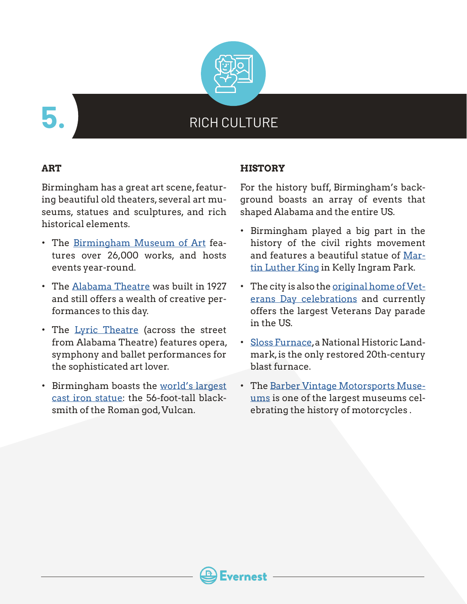

**5.**

## RICH CULTURE

#### **ART**

Birmingham has a great art scene, featuring beautiful old theaters, several art museums, statues and sculptures, and rich historical elements.

- The [Birmingham Museum of Art](https://www.artsbma.org/) features over 26,000 works, and hosts events year-round.
- The [Alabama Theatre](https://alabamatheatre.com/) was built in 1927 and still offers a wealth of creative performances to this day.
- The [Lyric Theatre](https://lyricbham.com/) (across the street from Alabama Theatre) features opera, symphony and ballet performances for the sophisticated art lover.
- Birmingham boasts the [world's largest](https://visitvulcan.com/about/) [cast iron statue:](https://visitvulcan.com/about/) the 56-foot-tall blacksmith of the Roman god, Vulcan.

#### **HISTORY**

For the history buff, Birmingham's background boasts an array of events that shaped Alabama and the entire US.

- Birmingham played a big part in the history of the civil rights movement and features a beautiful statue of [Mar](https://www.loc.gov/item/2010636983/)[tin Luther King](https://www.loc.gov/item/2010636983/) in Kelly Ingram Park.
- The city is also the [original home of Vet](https://nationalveteransday.org/)[erans Day celebrations](https://nationalveteransday.org/) and currently offers the largest Veterans Day parade in the US.
- [Sloss Furnace](https://www.slossfurnaces.com/), a National Historic Landmark, is the only restored 20th-century blast furnace.
- The [Barber Vintage Motorsports Muse](https://www.barbermuseum.org/)[ums](https://www.barbermuseum.org/) is one of the largest museums celebrating the history of motorcycles .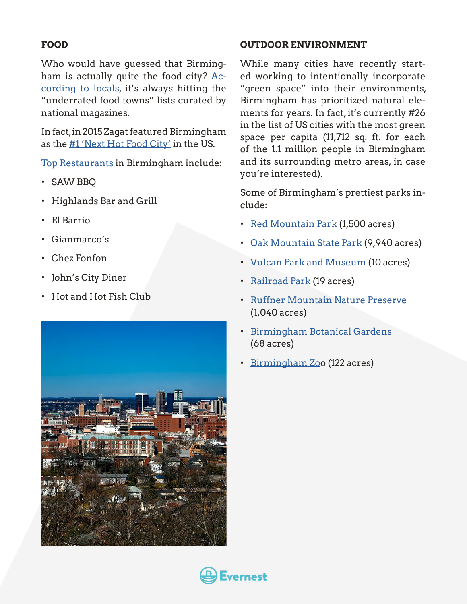#### **FOOD**

Who would have guessed that Birmingham is actually quite the food city? [Ac](https://www.al.com/bhammag/2017/10/here_are_the_top_55_dishes_you.html)[cording to locals,](https://www.al.com/bhammag/2017/10/here_are_the_top_55_dishes_you.html) it's always hitting the "underrated food towns" lists curated by national magazines.

In fact, in 2015 Zagat featured Birmingham as the [#1 'Next Hot Food City'](https://www.birminghamrestaurants.com/Reviews/EntryId/419/Hot-Food-City) in the US.

[Top Restaurants](https://southerntrippers.com/restaurants-in-birmingham-alabama/) in Birmingham include:

- SAW BBQ
- Highlands Bar and Grill
- El Barrio
- Gianmarco's
- Chez Fonfon
- John's City Diner
- Hot and Hot Fish Club



#### **OUTDOOR ENVIRONMENT**

While many cities have recently started working to intentionally incorporate "green space" into their environments, Birmingham has prioritized natural elements for years. In fact, it's currently #26 in the list of US cities with the most green space per capita (11,712 sq. ft. for each of the 1.1 million people in Birmingham and its surrounding metro areas, in case you're interested).

Some of Birmingham's prettiest parks include:

- [Red Mountain Park](https://redmountainpark.org/about/) (1,500 acres)
- [Oak Mountain State Park](https://stateparks.com/oak_mountain_state_park_in_alabama.html) (9,940 acres)
- [Vulcan Park and Museum](https://visitvulcan.com/about/) (10 acres)
- [Railroad Park](https://railroadpark.org/) (19 acres)
- [Ruffner Mountain Nature Preserve](https://ruffnermountain.org/)  (1,040 acres)
- [Birmingham Botanical Gardens](https://bbgardens.org/) (68 acres)
- [Birmingham Zo](https://www.birminghamzoo.com/)o (122 acres)

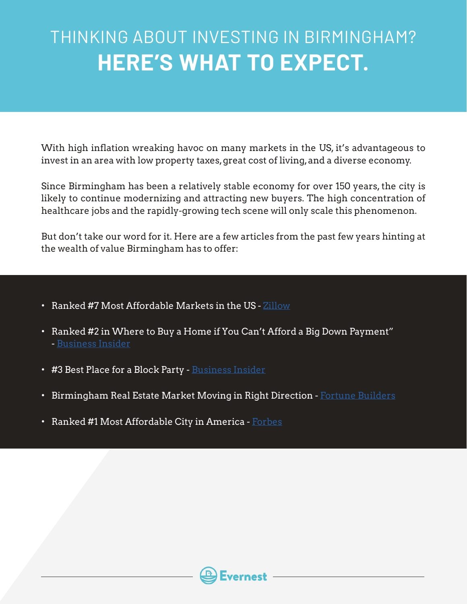## THINKING ABOUT INVESTING IN BIRMINGHAM? **HERE'S WHAT TO EXPECT.**

With high inflation wreaking havoc on many markets in the US, it's advantageous to invest in an area with low property taxes, great cost of living, and a diverse economy.

Since Birmingham has been a relatively stable economy for over 150 years, the city is likely to continue modernizing and attracting new buyers. The high concentration of healthcare jobs and the rapidly-growing tech scene will only scale this phenomenon.

But don't take our word for it. Here are a few articles from the past few years hinting at the wealth of value Birmingham has to offer:

- Ranked #7 Most Affordable Markets in the US  $\rm Zillow$  $\rm Zillow$
- Ranked #2 in Where to Buy a Home if You Can't Afford a Big Down Payment" - [Business Insider](http://www.businessinsider.com/where-to-buy-a-home-in-the-us-if-you-cant-afford-a-big-down-payment-2016-5)
- #3 Best Place for a Block Party - [Business Insider](http://www.bestplaces.net/docs/studies/blockparties_list.aspx)
- Birmingham Real Estate Market Moving in Right Direction - [Fortune Builders](https://www.fortunebuilders.com/birmingham-al-real-estate-market-trends-2016/)
- Ranked #1 Most Affordable City in America [Forbes](https://www.forbes.com/sites/erincarlyle/2015/03/12/americas-most-affordable-cities-in-2015/)

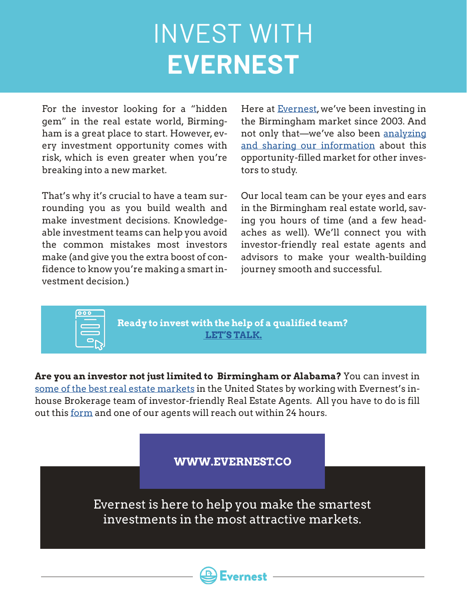# INVEST WITH **EVERNEST**

For the investor looking for a "hidden gem" in the real estate world, Birmingham is a great place to start. However, every investment opportunity comes with risk, which is even greater when you're breaking into a new market.

That's why it's crucial to have a team surrounding you as you build wealth and make investment decisions. Knowledgeable investment teams can help you avoid the common mistakes most investors make (and give you the extra boost of confidence to know you're making a smart investment decision.)

Here at **Evernest**, we've been investing in the Birmingham market since 2003. And not only that—we've also been [analyzing](https://podcasts.apple.com/us/podcast/the-birmingham-real-estate-investor/id1516929837) [and sharing our information](https://podcasts.apple.com/us/podcast/the-birmingham-real-estate-investor/id1516929837) about this opportunity-filled market for other investors to study.

Our local team can be your eyes and ears in the Birmingham real estate world, saving you hours of time (and a few headaches as well). We'll connect you with investor-friendly real estate agents and advisors to make your wealth-building journey smooth and successful.



**Ready to invest with the help of a qualified team? [LET'S TALK.](https://www.evernest.co/pocket-listings/)**

**Are you an investor not just limited to Birmingham or Alabama?** You can invest in [some of the best real estate markets](https://www.evernest.co/locations/) in the United States by working with Evernest's inhouse Brokerage team of investor-friendly Real Estate Agents. All you have to do is fill out this [form](https://www.evernest.co/pocket-listings/) and one of our agents will reach out within 24 hours.

**WWW.EVERNEST.CO**

Evernest is here to help you make the smartest investments in the most attractive markets.

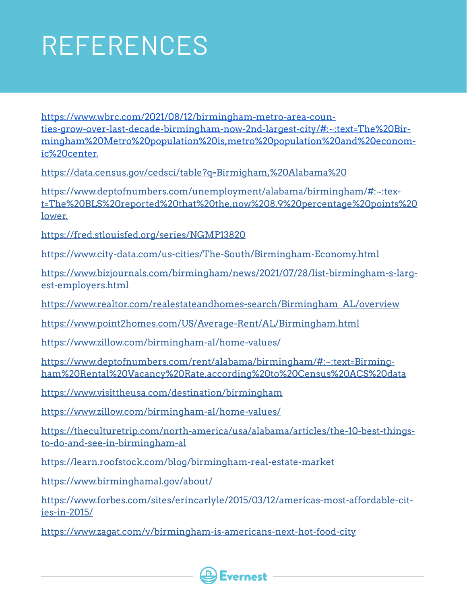# REFERENCES

https://www.wbrc.com/2021/08/12/birmingham-metro-area-counties-grow-over-last-decade-birmingham-now-2nd-largest-city/#:~:text=The%20Birmingham%20Metro%20population%20is,metro%20population%20and%20economic%20center.

<https://data.census.gov/cedsci/table?q=Birmigham,%20Alabama%20>

[https://www.deptofnumbers.com/unemployment/alabama/birmingham/#:~:tex](https://www.deptofnumbers.com/unemployment/alabama/birmingham/#:~:text=The%20BLS%20reported%20that%20the,now%208.9%20percentage%20points%20lower.)[t=The%20BLS%20reported%20that%20the,now%208.9%20percentage%20points%20](https://www.deptofnumbers.com/unemployment/alabama/birmingham/#:~:text=The%20BLS%20reported%20that%20the,now%208.9%20percentage%20points%20lower.) [lower.](https://www.deptofnumbers.com/unemployment/alabama/birmingham/#:~:text=The%20BLS%20reported%20that%20the,now%208.9%20percentage%20points%20lower.)

<https://fred.stlouisfed.org/series/NGMP13820>

<https://www.city-data.com/us-cities/The-South/Birmingham-Economy.html>

[https://www.bizjournals.com/birmingham/news/2021/07/28/list-birmingham-s-larg](https://www.bizjournals.com/birmingham/news/2021/07/28/list-birmingham-s-largest-employers.html)[est-employers.html](https://www.bizjournals.com/birmingham/news/2021/07/28/list-birmingham-s-largest-employers.html)

[https://www.realtor.com/realestateandhomes-search/Birmingham\\_AL/overview](https://www.realtor.com/realestateandhomes-search/Birmingham_AL/overview)

<https://www.point2homes.com/US/Average-Rent/AL/Birmingham.html>

<https://www.zillow.com/birmingham-al/home-values/>

[https://www.deptofnumbers.com/rent/alabama/birmingham/#:~:text=Birming](https://www.deptofnumbers.com/rent/alabama/birmingham/#:~:text=Birmingham%20Rental%20Vacancy%20Rate,according%20to%20Census%20ACS%20data)[ham%20Rental%20Vacancy%20Rate,according%20to%20Census%20ACS%20data](https://www.deptofnumbers.com/rent/alabama/birmingham/#:~:text=Birmingham%20Rental%20Vacancy%20Rate,according%20to%20Census%20ACS%20data)

<https://www.visittheusa.com/destination/birmingham>

<https://www.zillow.com/birmingham-al/home-values/>

[https://theculturetrip.com/north-america/usa/alabama/articles/the-10-best-things](https://theculturetrip.com/north-america/usa/alabama/articles/the-10-best-things-to-do-and-see-in-birmingham-al)[to-do-and-see-in-birmingham-al](https://theculturetrip.com/north-america/usa/alabama/articles/the-10-best-things-to-do-and-see-in-birmingham-al)

<https://learn.roofstock.com/blog/birmingham-real-estate-market>

<https://www.birminghamal.gov/about/>

[https://www.forbes.com/sites/erincarlyle/2015/03/12/americas-most-affordable-cit](https://www.forbes.com/sites/erincarlyle/2015/03/12/americas-most-affordable-cities-in-2015/)[ies-in-2015/](https://www.forbes.com/sites/erincarlyle/2015/03/12/americas-most-affordable-cities-in-2015/)

<https://www.zagat.com/v/birmingham-is-americans-next-hot-food-city>